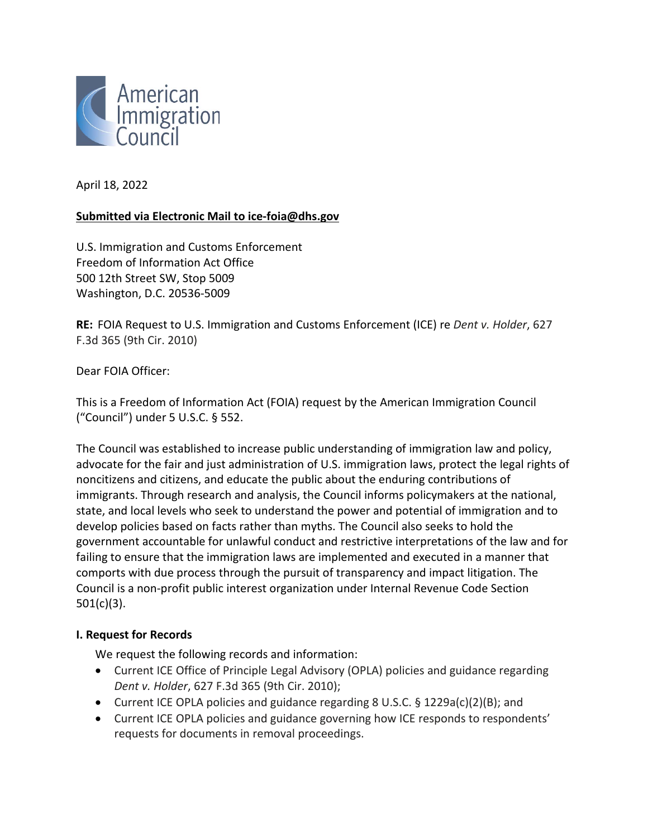

April 18, 2022

### **Submitted via Electronic Mail to ice-foia@dhs.gov**

U.S. Immigration and Customs Enforcement Freedom of Information Act Office 500 12th Street SW, Stop 5009 Washington, D.C. 20536-5009

**RE:** FOIA Request to U.S. Immigration and Customs Enforcement (ICE) re *Dent v. Holder*, 627 F.3d 365 (9th Cir. 2010)

Dear FOIA Officer:

This is a Freedom of Information Act (FOIA) request by the American Immigration Council ("Council") under 5 U.S.C. § 552.

The Council was established to increase public understanding of immigration law and policy, advocate for the fair and just administration of U.S. immigration laws, protect the legal rights of noncitizens and citizens, and educate the public about the enduring contributions of immigrants. Through research and analysis, the Council informs policymakers at the national, state, and local levels who seek to understand the power and potential of immigration and to develop policies based on facts rather than myths. The Council also seeks to hold the government accountable for unlawful conduct and restrictive interpretations of the law and for failing to ensure that the immigration laws are implemented and executed in a manner that comports with due process through the pursuit of transparency and impact litigation. The Council is a non-profit public interest organization under Internal Revenue Code Section 501(c)(3).

#### **I. Request for Records**

We request the following records and information:

- Current ICE Office of Principle Legal Advisory (OPLA) policies and guidance regarding *Dent v. Holder*, 627 F.3d 365 (9th Cir. 2010);
- Current ICE OPLA policies and guidance regarding 8 U.S.C. § 1229a(c)(2)(B); and
- Current ICE OPLA policies and guidance governing how ICE responds to respondents' requests for documents in removal proceedings.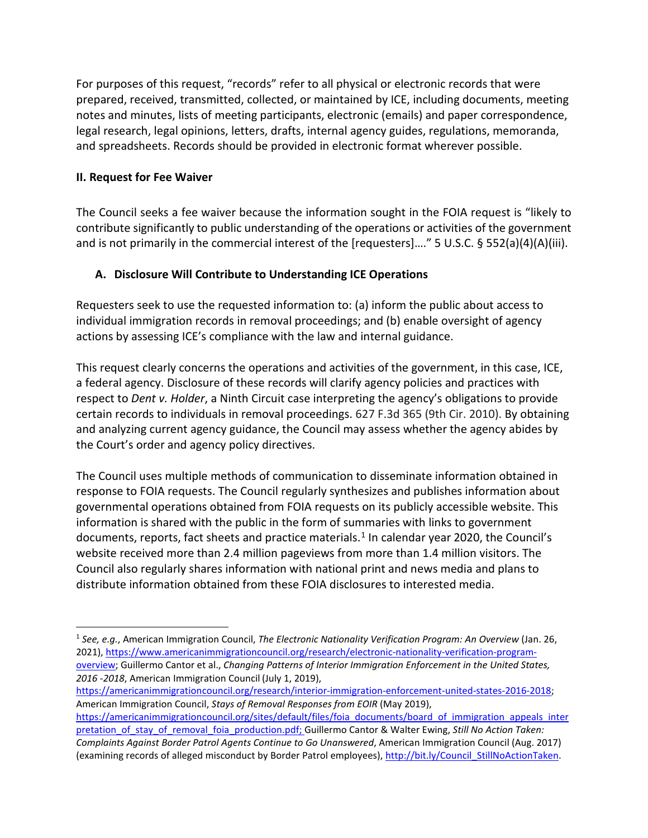For purposes of this request, "records" refer to all physical or electronic records that were prepared, received, transmitted, collected, or maintained by ICE, including documents, meeting notes and minutes, lists of meeting participants, electronic (emails) and paper correspondence, legal research, legal opinions, letters, drafts, internal agency guides, regulations, memoranda, and spreadsheets. Records should be provided in electronic format wherever possible.

## **II. Request for Fee Waiver**

The Council seeks a fee waiver because the information sought in the FOIA request is "likely to contribute significantly to public understanding of the operations or activities of the government and is not primarily in the commercial interest of the [requesters]…." 5 U.S.C. § 552(a)(4)(A)(iii).

# **A. Disclosure Will Contribute to Understanding ICE Operations**

Requesters seek to use the requested information to: (a) inform the public about access to individual immigration records in removal proceedings; and (b) enable oversight of agency actions by assessing ICE's compliance with the law and internal guidance.

This request clearly concerns the operations and activities of the government, in this case, ICE, a federal agency. Disclosure of these records will clarify agency policies and practices with respect to *Dent v. Holder*, a Ninth Circuit case interpreting the agency's obligations to provide certain records to individuals in removal proceedings. 627 F.3d 365 (9th Cir. 2010). By obtaining and analyzing current agency guidance, the Council may assess whether the agency abides by the Court's order and agency policy directives.

The Council uses multiple methods of communication to disseminate information obtained in response to FOIA requests. The Council regularly synthesizes and publishes information about governmental operations obtained from FOIA requests on its publicly accessible website. This information is shared with the public in the form of summaries with links to government documents, reports, fact sheets and practice materials.<sup>[1](#page-1-0)</sup> In calendar year 2020, the Council's website received more than 2.4 million pageviews from more than 1.4 million visitors. The Council also regularly shares information with national print and news media and plans to distribute information obtained from these FOIA disclosures to interested media.

[https://americanimmigrationcouncil.org/research/interior-immigration-enforcement-united-states-2016-2018;](https://americanimmigrationcouncil.org/research/interior-immigration-enforcement-united-states-2016-2018) American Immigration Council, *Stays of Removal Responses from EOIR* (May 2019),

<span id="page-1-0"></span><sup>1</sup> *See, e.g.*, American Immigration Council, *The Electronic Nationality Verification Program: An Overview* (Jan. 26, 2021), [https://www.americanimmigrationcouncil.org/research/electronic-nationality-verification-program](https://www.americanimmigrationcouncil.org/research/electronic-nationality-verification-program-overview)[overview;](https://www.americanimmigrationcouncil.org/research/electronic-nationality-verification-program-overview) Guillermo Cantor et al., *Changing Patterns of Interior Immigration Enforcement in the United States, 2016 -2018*, American Immigration Council (July 1, 2019),

[https://americanimmigrationcouncil.org/sites/default/files/foia\\_documents/board\\_of\\_immigration\\_appeals\\_inter](https://americanimmigrationcouncil.org/sites/default/files/foia_documents/board_of_immigration_appeals_interpretation_of_stay_of_removal_foia_production.pdf) [pretation\\_of\\_stay\\_of\\_removal\\_foia\\_production.pdf;](https://americanimmigrationcouncil.org/sites/default/files/foia_documents/board_of_immigration_appeals_interpretation_of_stay_of_removal_foia_production.pdf) Guillermo Cantor & Walter Ewing, *Still No Action Taken:*  $\overline{\phantom{a}}$ *Complaints Against Border Patrol Agents Continue to Go Unanswered*, American Immigration Council (Aug. 2017) (examining records of alleged misconduct by Border Patrol employees)[, http://bit.ly/Council\\_StillNoActionTaken.](http://bit.ly/Council_StillNoActionTaken)